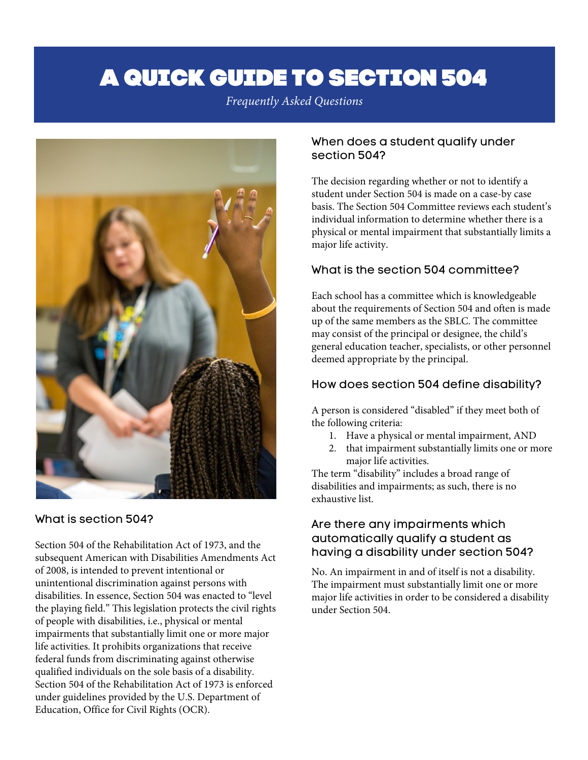# A QUICK GUIDE TO SECTION 504

*Frequently Asked Questions* 



# What is section 504?

 Section 504 of the Rehabilitation Act of 1973, and the subsequent American with Disabilities Amendments Act of 2008, is intended to prevent intentional or unintentional discrimination against persons with disabilities. In essence, Section 504 was enacted to "level of people with disabilities, i.e., physical or mental qualified individuals on the sole basis of a disability. Section 504 of the Rehabilitation Act of 1973 is enforced under guidelines provided by the U.S. Department of the playing field." This legislation protects the civil rights impairments that substantially limit one or more major life activities. It prohibits organizations that receive federal funds from discriminating against otherwise Education, Office for Civil Rights (OCR).

#### When does a student qualify under section 504?

 The decision regarding whether or not to identify a student under Section 504 is made on a case-by case individual information to determine whether there is a physical or mental impairment that substantially limits a major life activity. basis. The Section 504 Committee reviews each student's

# What is the section 504 committee?

 Each school has a committee which is knowledgeable up of the same members as the SBLC. The committee may consist of the principal or designee, the child's general education teacher, specialists, or other personnel about the requirements of Section 504 and often is made deemed appropriate by the principal.

#### How does section 504 define disability?

 A person is considered "disabled" if they meet both of the following criteria:

- 1. Have a physical or mental impairment, AND
- major life activities. 2. that impairment substantially limits one or more

 The term "disability" includes a broad range of disabilities and impairments; as such, there is no exhaustive list.

## Are there any impairments which automatically qualify a student as having a disability under section 504?

 No. An impairment in and of itself is not a disability. The impairment must substantially limit one or more major life activities in order to be considered a disability under Section 504.